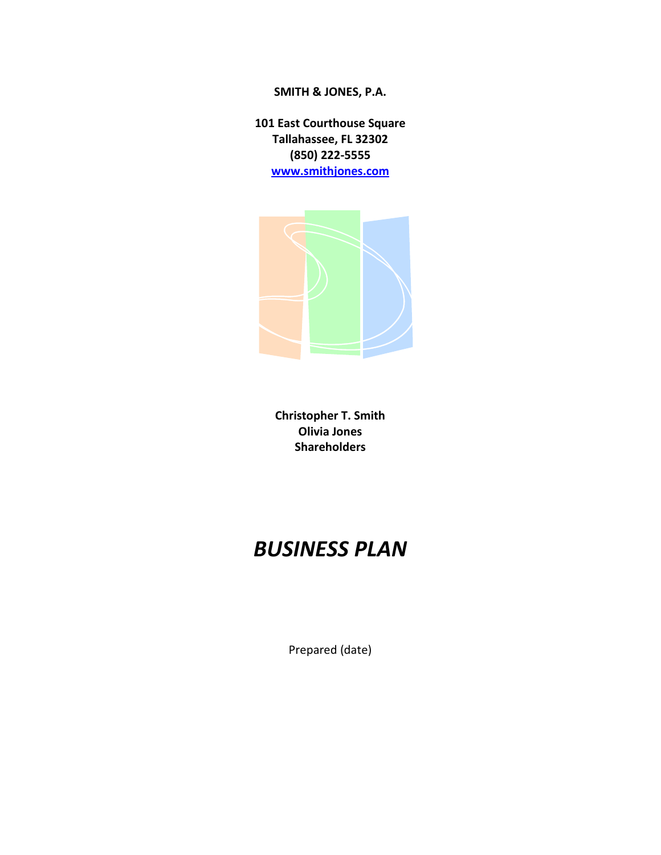# **SMITH & JONES, P.A.**

**101 East Courthouse Square Tallahassee, FL 32302 (850) 222-5555 [www.smithjones.com](http://www.smithjones.com/)**



**Christopher T. Smith Olivia Jones Shareholders**

# *BUSINESS PLAN*

Prepared (date)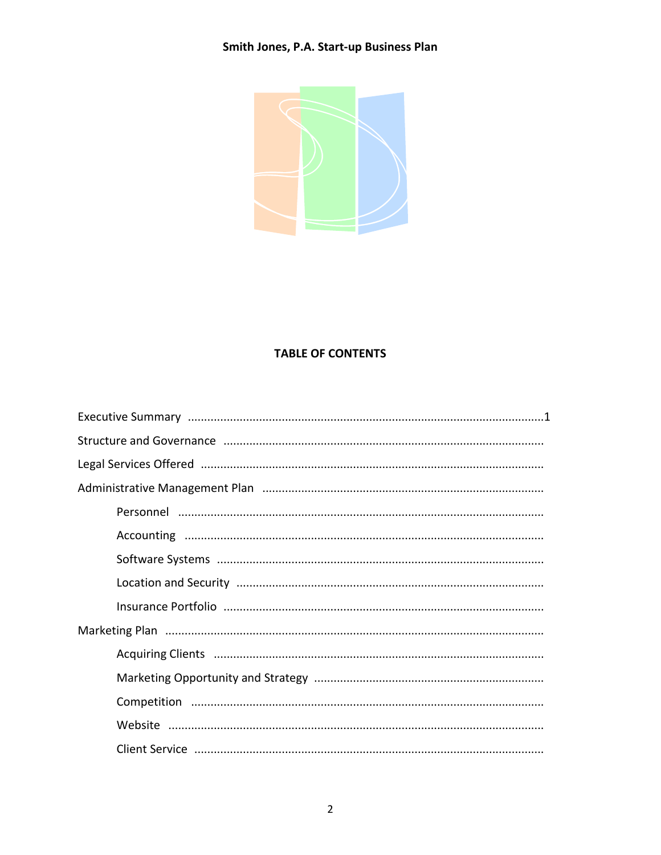

# **TABLE OF CONTENTS**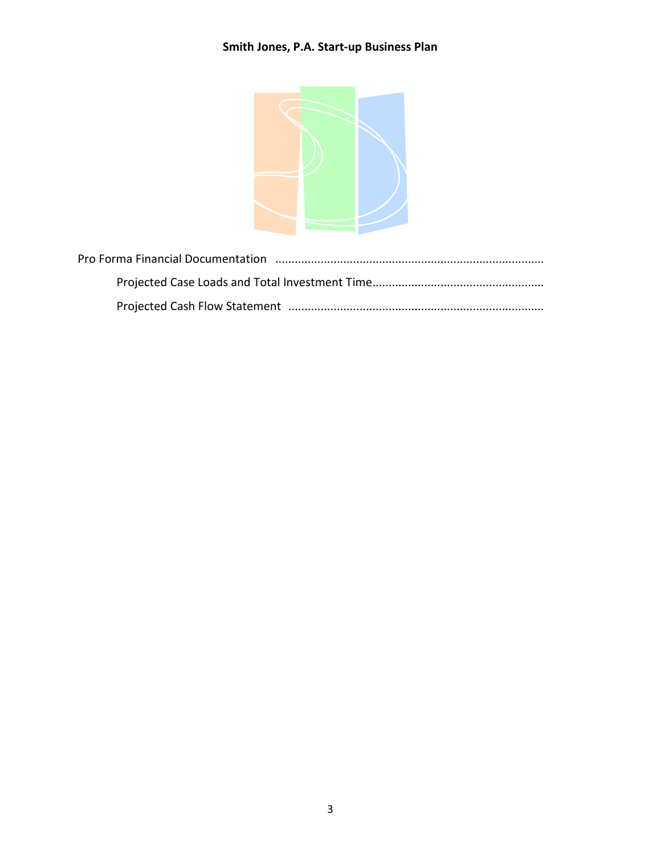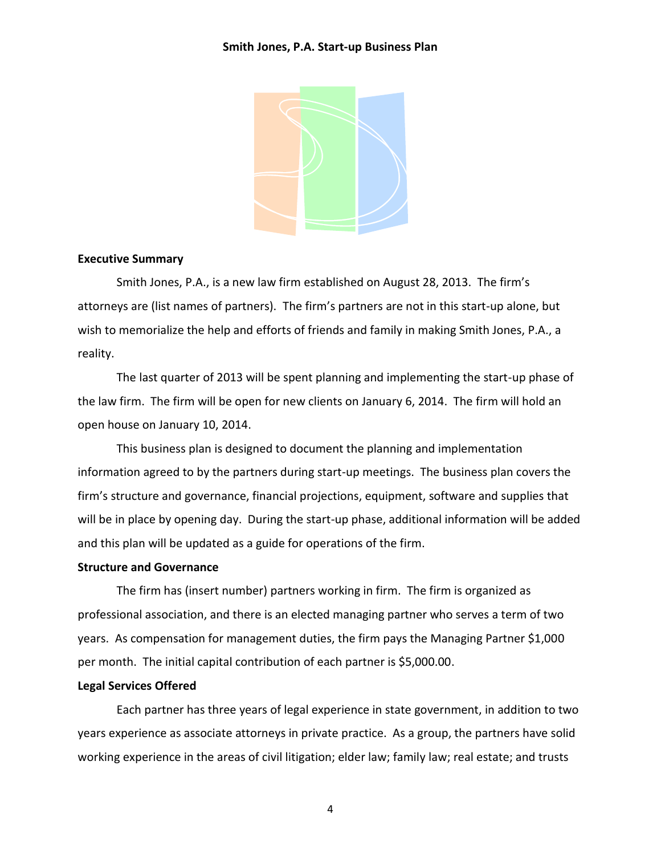

## **Executive Summary**

Smith Jones, P.A., is a new law firm established on August 28, 2013. The firm's attorneys are (list names of partners). The firm's partners are not in this start-up alone, but wish to memorialize the help and efforts of friends and family in making Smith Jones, P.A., a reality.

The last quarter of 2013 will be spent planning and implementing the start-up phase of the law firm. The firm will be open for new clients on January 6, 2014. The firm will hold an open house on January 10, 2014.

This business plan is designed to document the planning and implementation information agreed to by the partners during start-up meetings. The business plan covers the firm's structure and governance, financial projections, equipment, software and supplies that will be in place by opening day. During the start-up phase, additional information will be added and this plan will be updated as a guide for operations of the firm.

# **Structure and Governance**

The firm has (insert number) partners working in firm. The firm is organized as professional association, and there is an elected managing partner who serves a term of two years. As compensation for management duties, the firm pays the Managing Partner \$1,000 per month. The initial capital contribution of each partner is \$5,000.00.

# **Legal Services Offered**

Each partner has three years of legal experience in state government, in addition to two years experience as associate attorneys in private practice. As a group, the partners have solid working experience in the areas of civil litigation; elder law; family law; real estate; and trusts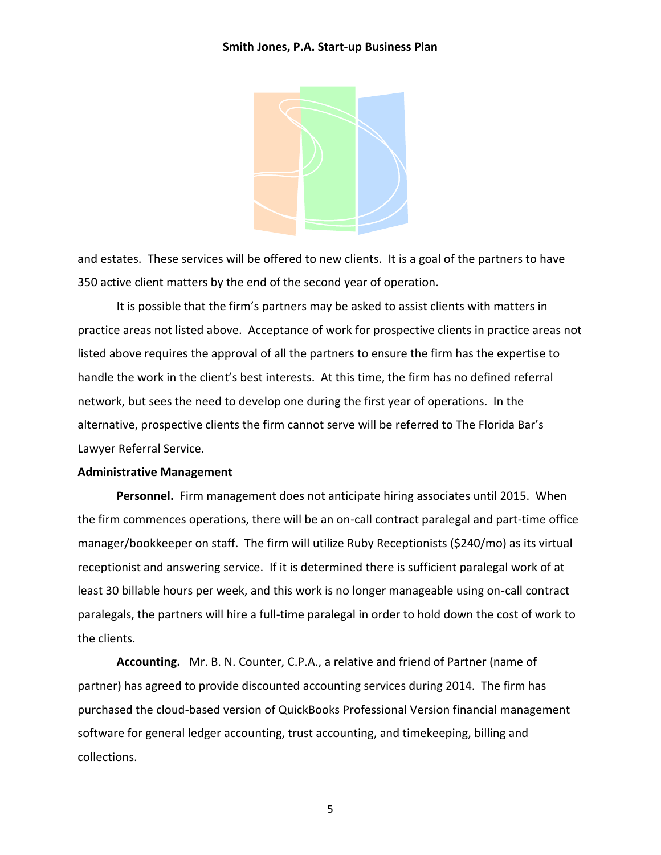

and estates. These services will be offered to new clients. It is a goal of the partners to have 350 active client matters by the end of the second year of operation.

It is possible that the firm's partners may be asked to assist clients with matters in practice areas not listed above. Acceptance of work for prospective clients in practice areas not listed above requires the approval of all the partners to ensure the firm has the expertise to handle the work in the client's best interests. At this time, the firm has no defined referral network, but sees the need to develop one during the first year of operations. In the alternative, prospective clients the firm cannot serve will be referred to The Florida Bar's Lawyer Referral Service.

#### **Administrative Management**

**Personnel.** Firm management does not anticipate hiring associates until 2015. When the firm commences operations, there will be an on-call contract paralegal and part-time office manager/bookkeeper on staff. The firm will utilize Ruby Receptionists (\$240/mo) as its virtual receptionist and answering service. If it is determined there is sufficient paralegal work of at least 30 billable hours per week, and this work is no longer manageable using on-call contract paralegals, the partners will hire a full-time paralegal in order to hold down the cost of work to the clients.

**Accounting.** Mr. B. N. Counter, C.P.A., a relative and friend of Partner (name of partner) has agreed to provide discounted accounting services during 2014. The firm has purchased the cloud-based version of QuickBooks Professional Version financial management software for general ledger accounting, trust accounting, and timekeeping, billing and collections.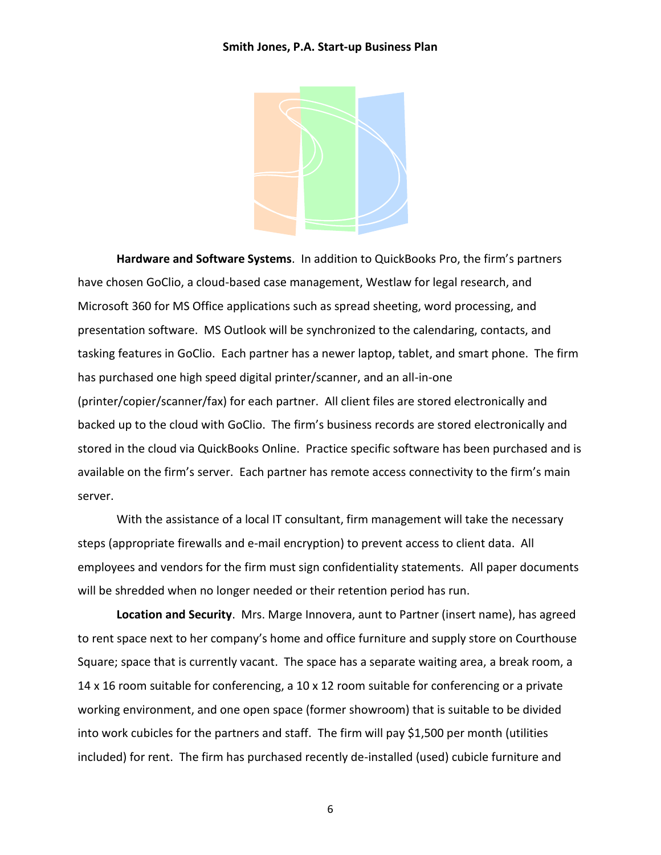

 **Hardware and Software Systems**. In addition to QuickBooks Pro, the firm's partners have chosen GoClio, a cloud-based case management, Westlaw for legal research, and Microsoft 360 for MS Office applications such as spread sheeting, word processing, and presentation software. MS Outlook will be synchronized to the calendaring, contacts, and tasking features in GoClio. Each partner has a newer laptop, tablet, and smart phone. The firm has purchased one high speed digital printer/scanner, and an all-in-one (printer/copier/scanner/fax) for each partner. All client files are stored electronically and backed up to the cloud with GoClio. The firm's business records are stored electronically and stored in the cloud via QuickBooks Online. Practice specific software has been purchased and is available on the firm's server. Each partner has remote access connectivity to the firm's main server.

With the assistance of a local IT consultant, firm management will take the necessary steps (appropriate firewalls and e-mail encryption) to prevent access to client data. All employees and vendors for the firm must sign confidentiality statements. All paper documents will be shredded when no longer needed or their retention period has run.

**Location and Security**. Mrs. Marge Innovera, aunt to Partner (insert name), has agreed to rent space next to her company's home and office furniture and supply store on Courthouse Square; space that is currently vacant. The space has a separate waiting area, a break room, a 14 x 16 room suitable for conferencing, a 10 x 12 room suitable for conferencing or a private working environment, and one open space (former showroom) that is suitable to be divided into work cubicles for the partners and staff. The firm will pay \$1,500 per month (utilities included) for rent. The firm has purchased recently de-installed (used) cubicle furniture and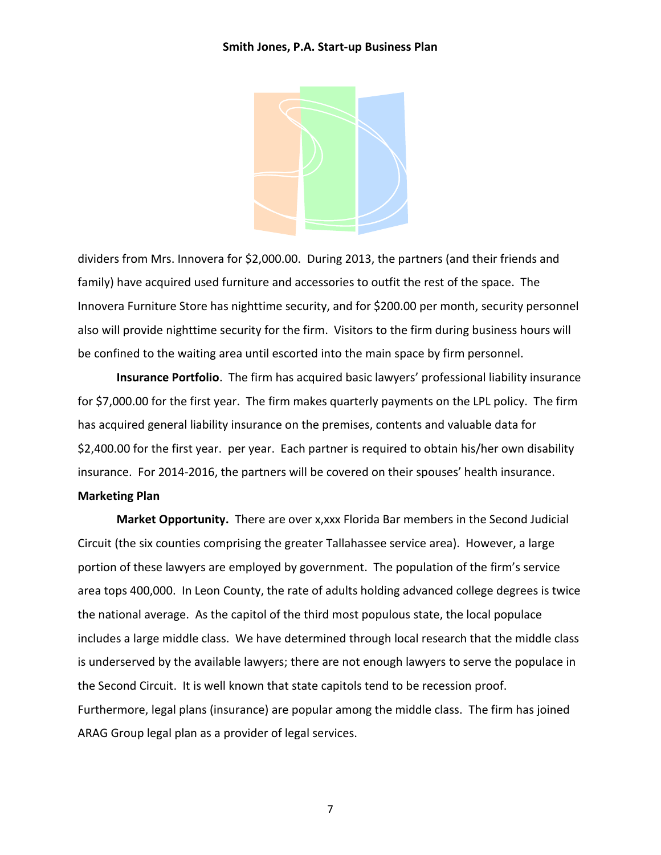

dividers from Mrs. Innovera for \$2,000.00. During 2013, the partners (and their friends and family) have acquired used furniture and accessories to outfit the rest of the space. The Innovera Furniture Store has nighttime security, and for \$200.00 per month, security personnel also will provide nighttime security for the firm. Visitors to the firm during business hours will be confined to the waiting area until escorted into the main space by firm personnel.

**Insurance Portfolio**. The firm has acquired basic lawyers' professional liability insurance for \$7,000.00 for the first year. The firm makes quarterly payments on the LPL policy. The firm has acquired general liability insurance on the premises, contents and valuable data for \$2,400.00 for the first year. per year. Each partner is required to obtain his/her own disability insurance. For 2014-2016, the partners will be covered on their spouses' health insurance. **Marketing Plan**

**Market Opportunity.** There are over x,xxx Florida Bar members in the Second Judicial Circuit (the six counties comprising the greater Tallahassee service area). However, a large portion of these lawyers are employed by government. The population of the firm's service area tops 400,000. In Leon County, the rate of adults holding advanced college degrees is twice the national average. As the capitol of the third most populous state, the local populace includes a large middle class. We have determined through local research that the middle class is underserved by the available lawyers; there are not enough lawyers to serve the populace in the Second Circuit. It is well known that state capitols tend to be recession proof. Furthermore, legal plans (insurance) are popular among the middle class. The firm has joined ARAG Group legal plan as a provider of legal services.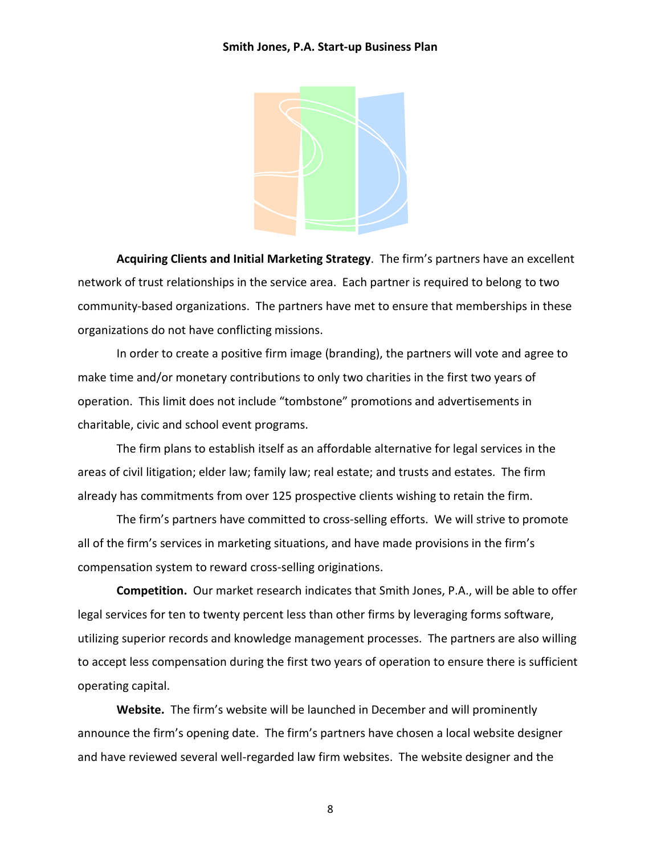

**Acquiring Clients and Initial Marketing Strategy**. The firm's partners have an excellent network of trust relationships in the service area. Each partner is required to belong to two community-based organizations. The partners have met to ensure that memberships in these organizations do not have conflicting missions.

In order to create a positive firm image (branding), the partners will vote and agree to make time and/or monetary contributions to only two charities in the first two years of operation. This limit does not include "tombstone" promotions and advertisements in charitable, civic and school event programs.

The firm plans to establish itself as an affordable alternative for legal services in the areas of civil litigation; elder law; family law; real estate; and trusts and estates. The firm already has commitments from over 125 prospective clients wishing to retain the firm.

The firm's partners have committed to cross-selling efforts. We will strive to promote all of the firm's services in marketing situations, and have made provisions in the firm's compensation system to reward cross-selling originations.

**Competition.** Our market research indicates that Smith Jones, P.A., will be able to offer legal services for ten to twenty percent less than other firms by leveraging forms software, utilizing superior records and knowledge management processes. The partners are also willing to accept less compensation during the first two years of operation to ensure there is sufficient operating capital.

**Website.** The firm's website will be launched in December and will prominently announce the firm's opening date. The firm's partners have chosen a local website designer and have reviewed several well-regarded law firm websites. The website designer and the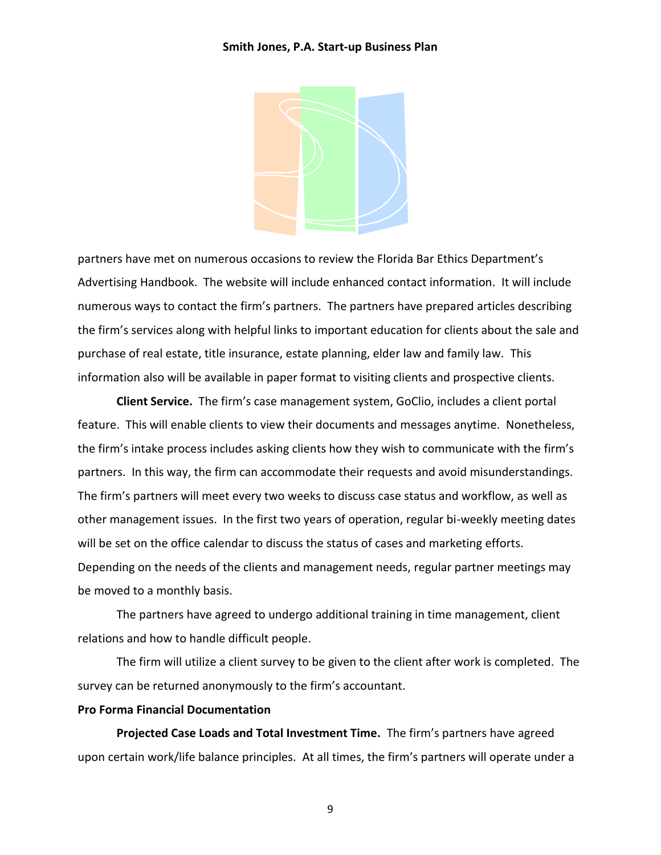

partners have met on numerous occasions to review the Florida Bar Ethics Department's Advertising Handbook. The website will include enhanced contact information. It will include numerous ways to contact the firm's partners. The partners have prepared articles describing the firm's services along with helpful links to important education for clients about the sale and purchase of real estate, title insurance, estate planning, elder law and family law. This information also will be available in paper format to visiting clients and prospective clients.

**Client Service.** The firm's case management system, GoClio, includes a client portal feature. This will enable clients to view their documents and messages anytime. Nonetheless, the firm's intake process includes asking clients how they wish to communicate with the firm's partners. In this way, the firm can accommodate their requests and avoid misunderstandings. The firm's partners will meet every two weeks to discuss case status and workflow, as well as other management issues. In the first two years of operation, regular bi-weekly meeting dates will be set on the office calendar to discuss the status of cases and marketing efforts. Depending on the needs of the clients and management needs, regular partner meetings may be moved to a monthly basis.

The partners have agreed to undergo additional training in time management, client relations and how to handle difficult people.

The firm will utilize a client survey to be given to the client after work is completed. The survey can be returned anonymously to the firm's accountant.

# **Pro Forma Financial Documentation**

**Projected Case Loads and Total Investment Time.** The firm's partners have agreed upon certain work/life balance principles. At all times, the firm's partners will operate under a